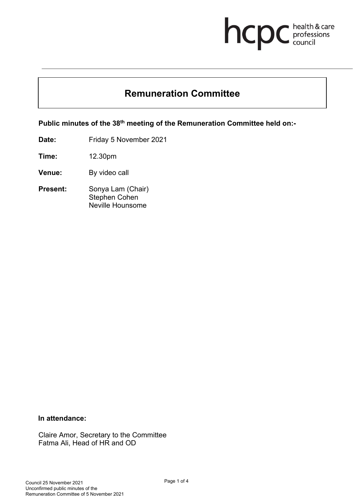# **health & care**

# **Remuneration Committee**

**Public minutes of the 38th meeting of the Remuneration Committee held on:-** 

**Date:** Friday 5 November 2021

**Time:** 12.30pm

**Venue:** By video call

**Present:** Sonya Lam (Chair) Stephen Cohen Neville Hounsome

#### **In attendance:**

Claire Amor, Secretary to the Committee Fatma Ali, Head of HR and OD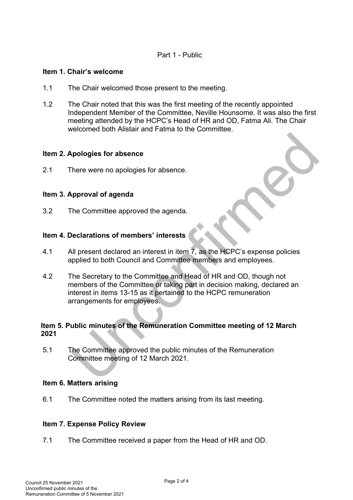#### Part 1 - Public

#### **Item 1. Chair's welcome**

- 1.1 The Chair welcomed those present to the meeting.
- 1.2 The Chair noted that this was the first meeting of the recently appointed Independent Member of the Committee, Neville Hounsome. It was also the first meeting attended by the HCPC's Head of HR and OD, Fatma Ali. The Chair welcomed both Alistair and Fatma to the Committee.

#### **Item 2. Apologies for absence**

2.1 There were no apologies for absence.

#### **Item 3. Approval of agenda**

3.2 The Committee approved the agenda.

#### **Item 4. Declarations of members' interests**

- 4.1 All present declared an interest in item 7, as the HCPC's expense policies applied to both Council and Committee members and employees.
- 4.2 The Secretary to the Committee and Head of HR and OD, though not members of the Committee or taking part in decision making, declared an interest in items 13-15 as it pertained to the HCPC remuneration arrangements for employees.

#### **Item 5. Public minutes of the Remuneration Committee meeting of 12 March 2021**

5.1 The Committee approved the public minutes of the Remuneration Committee meeting of 12 March 2021.

#### **Item 6. Matters arising**

6.1 The Committee noted the matters arising from its last meeting.

#### **Item 7. Expense Policy Review**

7.1 The Committee received a paper from the Head of HR and OD.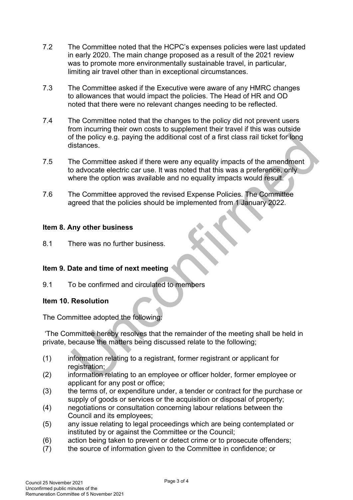- 7.2 The Committee noted that the HCPC's expenses policies were last updated in early 2020. The main change proposed as a result of the 2021 review was to promote more environmentally sustainable travel, in particular, limiting air travel other than in exceptional circumstances.
- 7.3 The Committee asked if the Executive were aware of any HMRC changes to allowances that would impact the policies. The Head of HR and OD noted that there were no relevant changes needing to be reflected.
- 7.4 The Committee noted that the changes to the policy did not prevent users from incurring their own costs to supplement their travel if this was outside of the policy e.g. paying the additional cost of a first class rail ticket for long distances.
- 7.5 The Committee asked if there were any equality impacts of the amendment to advocate electric car use. It was noted that this was a preference, only where the option was available and no equality impacts would result.
- 7.6 The Committee approved the revised Expense Policies. The Committee agreed that the policies should be implemented from 1 January 2022.

### **Item 8. Any other business**

8.1 There was no further business.

# **Item 9. Date and time of next meeting**

9.1 To be confirmed and circulated to members

# **Item 10. Resolution**

The Committee adopted the following:

'The Committee hereby resolves that the remainder of the meeting shall be held in private, because the matters being discussed relate to the following;

- (1) information relating to a registrant, former registrant or applicant for registration:
- (2) information relating to an employee or officer holder, former employee or applicant for any post or office;
- (3) the terms of, or expenditure under, a tender or contract for the purchase or supply of goods or services or the acquisition or disposal of property;
- (4) negotiations or consultation concerning labour relations between the Council and its employees;
- (5) any issue relating to legal proceedings which are being contemplated or instituted by or against the Committee or the Council;
- (6) action being taken to prevent or detect crime or to prosecute offenders;
- (7) the source of information given to the Committee in confidence; or